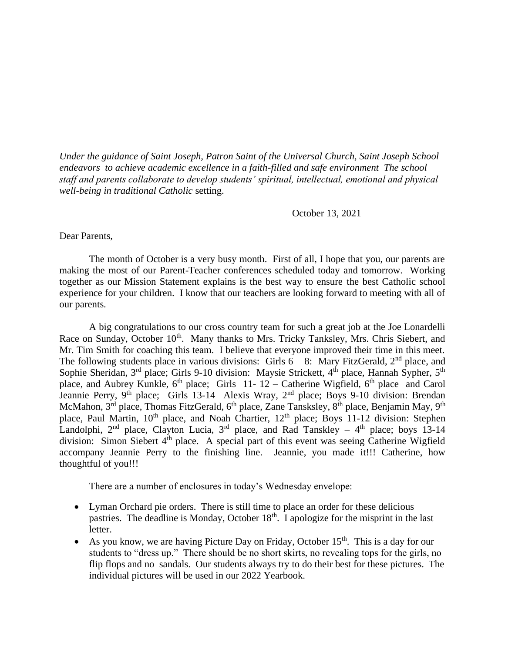*Under the guidance of Saint Joseph, Patron Saint of the Universal Church, Saint Joseph School endeavors to achieve academic excellence in a faith-filled and safe environment The school staff and parents collaborate to develop students' spiritual, intellectual, emotional and physical well-being in traditional Catholic* setting.

## October 13, 2021

Dear Parents,

The month of October is a very busy month. First of all, I hope that you, our parents are making the most of our Parent-Teacher conferences scheduled today and tomorrow. Working together as our Mission Statement explains is the best way to ensure the best Catholic school experience for your children. I know that our teachers are looking forward to meeting with all of our parents.

A big congratulations to our cross country team for such a great job at the Joe Lonardelli Race on Sunday, October 10<sup>th</sup>. Many thanks to Mrs. Tricky Tanksley, Mrs. Chris Siebert, and Mr. Tim Smith for coaching this team. I believe that everyone improved their time in this meet. The following students place in various divisions: Girls  $6 - 8$ : Mary FitzGerald,  $2<sup>nd</sup>$  place, and Sophie Sheridan, 3<sup>rd</sup> place; Girls 9-10 division: Maysie Strickett, 4<sup>th</sup> place, Hannah Sypher, 5<sup>th</sup> place, and Aubrey Kunkle,  $6<sup>th</sup>$  place; Girls 11-12 – Catherine Wigfield,  $6<sup>th</sup>$  place and Carol Jeannie Perry, 9<sup>th</sup> place; Girls 13-14 Alexis Wray, 2<sup>nd</sup> place; Boys 9-10 division: Brendan McMahon, 3<sup>rd</sup> place, Thomas FitzGerald, 6<sup>th</sup> place, Zane Tansksley, 8<sup>th</sup> place, Benjamin May, 9<sup>th</sup> place, Paul Martin, 10<sup>th</sup> place, and Noah Chartier, 12<sup>th</sup> place; Boys 11-12 division: Stephen Landolphi,  $2<sup>nd</sup>$  place, Clayton Lucia,  $3<sup>rd</sup>$  place, and Rad Tanskley –  $4<sup>th</sup>$  place; boys 13-14 division: Simon Siebert  $4<sup>th</sup>$  place. A special part of this event was seeing Catherine Wigfield accompany Jeannie Perry to the finishing line. Jeannie, you made it!!! Catherine, how thoughtful of you!!!

There are a number of enclosures in today's Wednesday envelope:

- Lyman Orchard pie orders. There is still time to place an order for these delicious pastries. The deadline is Monday, October  $18<sup>th</sup>$ . I apologize for the misprint in the last letter.
- As you know, we are having Picture Day on Friday, October  $15<sup>th</sup>$ . This is a day for our students to "dress up." There should be no short skirts, no revealing tops for the girls, no flip flops and no sandals. Our students always try to do their best for these pictures. The individual pictures will be used in our 2022 Yearbook.